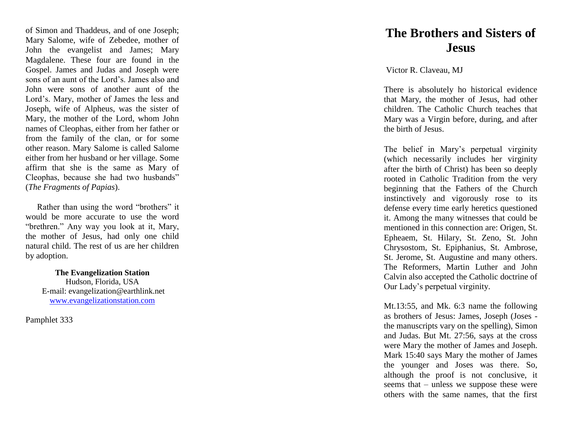of Simon and Thaddeus, and of one Joseph; Mary Salome, wife of Zebedee, mother of John the evangelist and James; Mary Magdalene. These four are found in the Gospel. James and Judas and Joseph were sons of an aunt of the Lord's. James also and John were sons of another aunt of the Lord's. Mary, mother of James the less and Joseph, wife of Alpheus, was the sister of Mary, the mother of the Lord, whom John names of Cleophas, either from her father or from the family of the clan, or for some other reason. Mary Salome is called Salome either from her husband or her village. Some affirm that she is the same as Mary of Cleophas, because she had two husbands" (*The Fragments of Papias*).

 Rather than using the word "brothers" it would be more accurate to use the word "brethren." Any way you look at it, Mary, the mother of Jesus, had only one child natural child. The rest of us are her children by adoption.

> **The Evangelization Station** Hudson, Florida, USA E -mail: evangelization@earthlink.net [www.evangelizationstation.com](http://www.pjpiisoe.org/)

Pamphlet 3 3 3

## **The Brothers and Sisters of Jesus**

Victor R. Claveau, MJ

There is absolutely ho historical evidence that Mary, the mother of Jesus, had other children. The Catholic Church teaches that Mary was a Virgin before, during, and after the birth of Jesus.

The belief in Mary's perpetual virginity (which necessarily includes her virginity after the birth of Christ) has been so deeply rooted in Catholic Tradition from the very beginning that the Fathers of the Church instinctively and vigorously rose to its defense every time early heretics questioned it. Among the many witnesses that could be mentioned in this connection are: Origen, St. Epheaem, St. Hilary, St. Zeno, St. John Chrysostom, St. Epiphanius, St. Ambrose, St. Jerome, St. Augustine and many others. The Reformers, Martin Luther and John Calvin also accepted the Catholic doctrine of Our Lady's perpetual virginity.

Mt.13:55, and Mk. 6:3 name the following as brothers of Jesus: James, Joseph (Joses the manuscripts vary on the spelling), Simon and Judas. But Mt. 27:56, says at the cross were Mary the mother of James and Joseph. Mark 15:40 says Mary the mother of James the younger and Joses was there. So, although the proof is not conclusive, it seems that – unless we suppose these were others with the same names, that the first